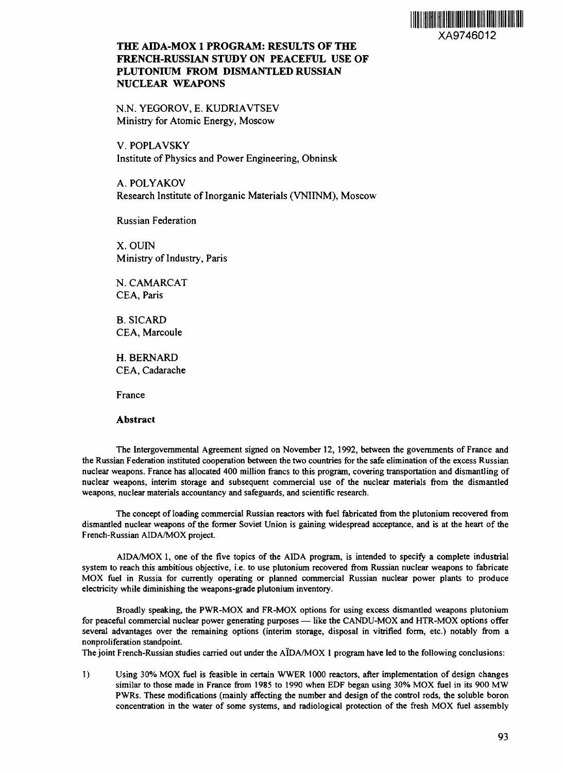<u> III (Birlik III) birlik birlik birlik birlik birlik birlik birlik birlik birlik birlik birlik birlik birlik b</u> XA9746012

# **THE AIDA-MOX 1 PROGRAM: RESULTS OF THE FRENCH-RUSSIAN STUDY ON PEACEFUL USE OF PLUTONIUM FROM DISMANTLED RUSSIAN NUCLEAR WEAPONS**

N.N. YEGOROV, E. KUDRIAVTSEV Ministry for Atomic Energy, Moscow

V. POPLAVSKY Institute of Physics and Power Engineering, Obninsk

A. POLYAKOV Research Institute of Inorganic Materials (VNIINM), Moscow

**Russian Federation** 

**X. OUIN** Ministry of Industry, Paris

N. CAMARCAT CEA, Paris

B. SICARD CEA, Marcoule

H. BERNARD CEA, Cadarache

France

#### **Abstract**

The Intergovernmental Agreement signed on November 12, 1992, between the governments of France and the Russian Federation instituted cooperation between the two countries for the safe elimination of the excess Russian nuclear weapons. France has allocated 400 million francs to this program, covering transportation and dismantling of nuclear weapons, interim storage and subsequent commercial use of the nuclear materials from the dismantled weapons, nuclear materials accountancy and safeguards, and scientific research.

The concept of loading commercial Russian reactors with fuel fabricated from the plutonium recovered from dismantled nuclear weapons of the former Soviet Union is gaining widespread acceptance, and is at the heart of the French-Russian AIDA/MOX project.

AIDA/MOX 1, one of the five topics of the AIDA program, is intended to specify a complete industrial system to reach this ambitious objective, i.e. to use plutonium recovered from Russian nuclear weapons to fabricate MOX fuel in Russia for currently operating or planned commercial Russian nuclear power plants to produce electricity while diminishing the weapons-grade plutonium inventory.

Broadly speaking, the PWR-MOX and FR-MOX options for using excess dismantled weapons plutonium for peaceful commercial nuclear power generating purposes — like the CANDU-MOX and HTR-MOX options offer several advantages over the remaining options (interim storage, disposal in vitrified form, etc.) notably from a nonproliferation standpoint.

The joint French-Russian studies carried out under the AÏDA/MOX 1 program have led to the following conclusions:

1) Using 30% MOX fuel is feasible in certain WWER 1000 reactors, after implementation of design changes similar to those made in France from 1985 to 1990 when EDF began using 30% MOX fuel in its 900 MW PWRs. These modifications (mainly affecting the number and design of the control rods, the soluble boron concentration in the water of some systems, and radiological protection of the fresh MOX fuel assembly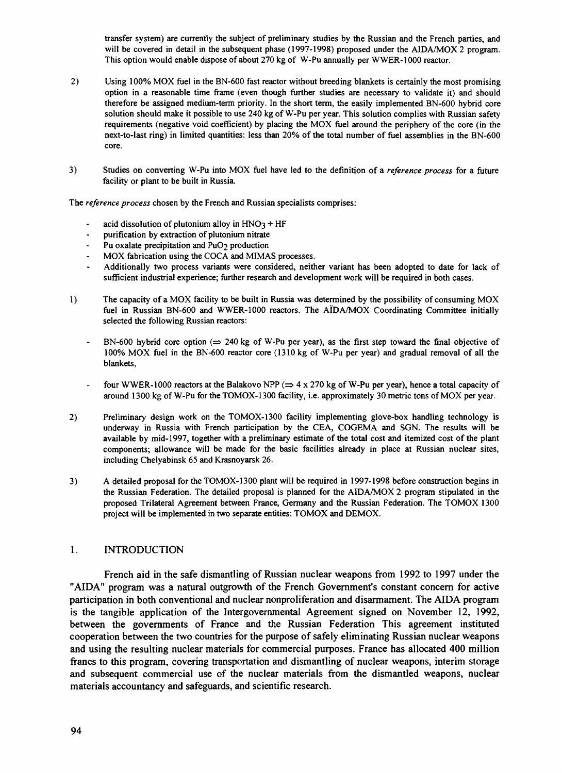transfer system) are currently the subject of preliminary studies by the Russian and the French parties, and will be covered in detail in the subsequent phase (1997-1998) proposed under the AIDA/MOX 2 program. This option would enable dispose of about 270 kg of W-Pu annually per WWER-1000 reactor.

- 2) Using 100% MOX fuel in the BN-600 fast reactor without breeding blankets is certainly the most promising option in a reasonable time frame (even though further studies are necessary to validate it) and should therefore be assigned medium-term priority. In the short term, the easily implemented BN-600 hybrid core solution should make it possible to use 240 kg of W-Pu per year. This solution complies with Russian safety requirements (negative void coefficient) by placing the MOX fuel around the periphery of the core (in the next-to-last ring) in limited quantities: less than 20% of the total number of fuel assemblies in the BN-600 core.
- 3) Studies on converting W-Pu into MOX fuel have led to the definition of a *reference process* for a future facility or plant to be built in Russia.

The *reference process* chosen by the French and Russian specialists comprises:

- acid dissolution of plutonium alloy in  $HNO<sub>3</sub> + HF$
- purification by extraction of plutonium nitrate  $\overline{a}$
- $\ddot{\phantom{0}}$ Pu oxalate precipitation and  $PuO<sub>2</sub>$  production
- MOX fabrication using the COCA and MIMAS processes.
- Additionally two process variants were considered, neither variant has been adopted to date for lack of sufficient industrial experience; further research and development work will be required in both cases.
- 1) The capacity of a MOX facility to be built in Russia was determined by the possibility of consuming MOX fuel in Russian BN-600 and WWER-1000 reactors. The AIDA/MOX Coordinating Committee initially selected the following Russian reactors:
	- BN-600 hybrid core option ( $\Rightarrow$  240 kg of W-Pu per year), as the first step toward the final objective of  $\overline{a}$ 100% MOX fuel in the BN-600 reactor core (1310 kg of W-Pu per year) and gradual removal of all the blankets,
	- four WWER-1000 reactors at the Balakovo NPP ( $\Rightarrow$  4 x 270 kg of W-Pu per year), hence a total capacity of around 1300 kg of W-Pu for the TOMOX-1300 facility, i.e. approximately 30 metric tons of MOX per year.
- 2) Preliminary design work on the TOMOX-1300 facility implementing glove-box handling technology is underway in Russia with French participation by the CEA, COGEMA and SGN. The results will be available by mid-1997, together with a preliminary estimate of the total cost and itemized cost of the plant components; allowance will be made for the basic facilities already in place at Russian nuclear sites, including Chelyabinsk 65 and Krasnoyarsk 26.
- 3) A detailed proposal for the TOMOX-1300 plant will be required in 1997-1998 before construction begins in the Russian Federation. The detailed proposal is planned for the AIDA/MOX 2 program stipulated in the proposed Trilateral Agreement between France, Germany and the Russian Federation. The TOMOX 1300 project will be implemented in two separate entities: TOMOX and DEMOX.

# 1. INTRODUCTION

French aid in the safe dismantling of Russian nuclear weapons from 1992 to 1997 under the "AIDA" program was a natural outgrowth of the French Government's constant concern for active participation in both conventional and nuclear nonproliferation and disarmament. The AIDA program is the tangible application of the Intergovernmental Agreement signed on November 12, 1992, between the governments of France and the Russian Federation This agreement instituted cooperation between the two countries for the purpose of safely eliminating Russian nuclear weapons and using the resulting nuclear materials for commercial purposes. France has allocated 400 million francs to this program, covering transportation and dismantling of nuclear weapons, interim storage and subsequent commercial use of the nuclear materials from the dismantled weapons, nuclear materials accountancy and safeguards, and scientific research.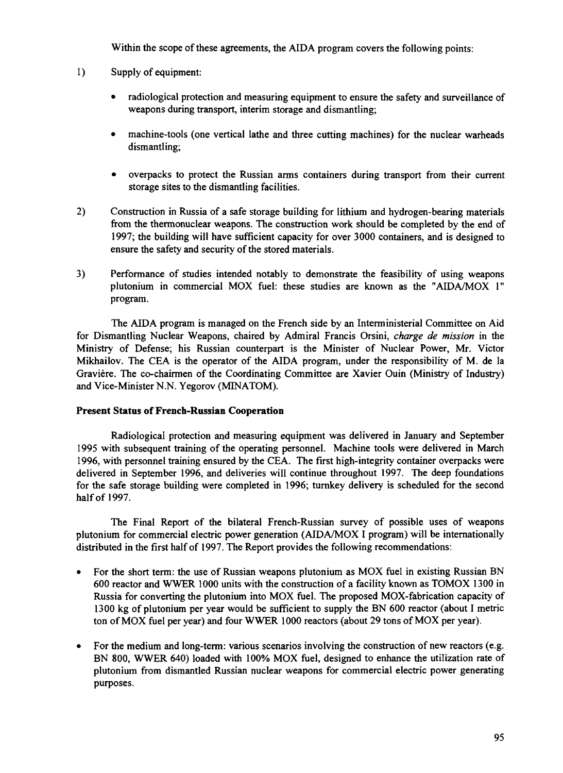Within the scope of these agreements, the AIDA program covers the following points:

- 1) Supply of equipment:
	- radiological protection and measuring equipment to ensure the safety and surveillance of weapons during transport, interim storage and dismantling;
	- machine-tools (one vertical lathe and three cutting machines) for the nuclear warheads dismantling;
	- overpacks to protect the Russian arms containers during transport from their current storage sites to the dismantling facilities.
- 2) Construction in Russia of a safe storage building for lithium and hydrogen-bearing materials from the thermonuclear weapons. The construction work should be completed by the end of 1997; the building will have sufficient capacity for over 3000 containers, and is designed to ensure the safety and security of the stored materials.
- 3) Performance of studies intended notably to demonstrate the feasibility of using weapons plutonium in commercial MOX fuel: these studies are known as the "AIDA/MOX 1" program.

The AIDA program is managed on the French side by an Interministerial Committee on Aid for Dismantling Nuclear Weapons, chaired by Admiral Francis Orsini, *charge de mission* in the Ministry of Defense; his Russian counterpart is the Minister of Nuclear Power, Mr. Victor Mikhailov. The CEA is the operator of the AIDA program, under the responsibility of M. de la Graviere. The co-chairmen of the Coordinating Committee are Xavier Ouin (Ministry of Industry) and Vice-Minister N.N. Yegorov (MINATOM).

### **Present Status of French-Russian Cooperation**

Radiological protection and measuring equipment was delivered in January and September 1995 with subsequent training of the operating personnel. Machine tools were delivered in March 1996, with personnel training ensured by the CEA. The first high-integrity container overpacks were delivered in September 1996, and deliveries will continue throughout 1997. The deep foundations for the safe storage building were completed in 1996; turnkey delivery is scheduled for the second half of 1997.

The Final Report of the bilateral French-Russian survey of possible uses of weapons plutonium for commercial electric power generation (AIDA/MOX I program) will be internationally distributed in the first half of 1997. The Report provides the following recommendations:

- For the short term: the use of Russian weapons plutonium as MOX fuel in existing Russian BN 600 reactor and WWER 1000 units with the construction of a facility known as TOMOX 1300 in Russia for converting the plutonium into MOX fuel. The proposed MOX-fabrication capacity of 1300 kg of plutonium per year would be sufficient to supply the BN 600 reactor (about I metric ton of MOX fuel per year) and four WWER 1000 reactors (about 29 tons of MOX per year).
- For the medium and long-term: various scenarios involving the construction of new reactors (e.g. BN 800, WWER 640) loaded with 100% MOX fuel, designed to enhance the utilization rate of plutonium from dismantled Russian nuclear weapons for commercial electric power generating purposes.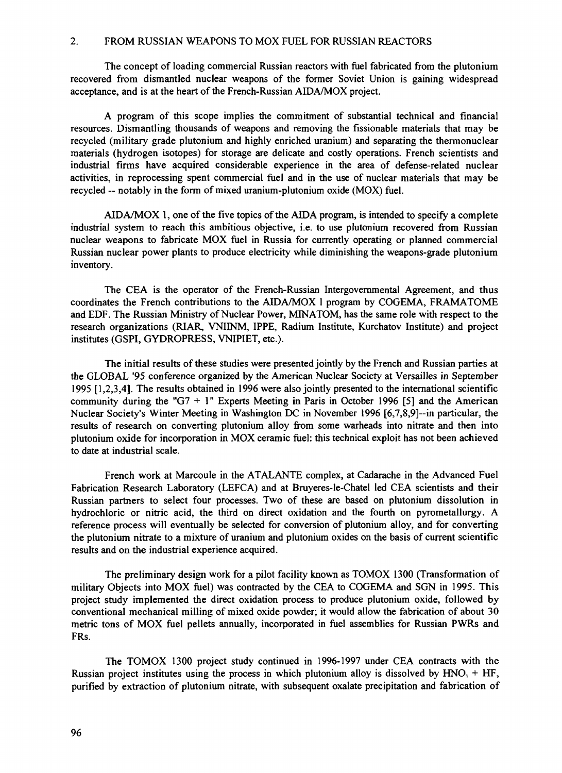### 2. FROM RUSSIAN WEAPONS TO MOX FUEL FOR RUSSIAN REACTORS

The concept of loading commercial Russian reactors with fuel fabricated from the plutonium recovered from dismantled nuclear weapons of the former Soviet Union is gaining widespread acceptance, and is at the heart of the French-Russian AIDA/MOX project.

A program of this scope implies the commitment of substantial technical and financial resources. Dismantling thousands of weapons and removing the fissionable materials that may be recycled (military grade plutonium and highly enriched uranium) and separating the thermonuclear materials (hydrogen isotopes) for storage are delicate and costly operations. French scientists and industrial firms have acquired considerable experience in the area of defense-related nuclear activities, in reprocessing spent commercial fuel and in the use of nuclear materials that may be recycled — notably in the form of mixed uranium-plutonium oxide (MOX) fuel.

AIDA/MOX 1, one of the five topics of the AIDA program, is intended to specify a complete industrial system to reach this ambitious objective, i.e. to use plutonium recovered from Russian nuclear weapons to fabricate MOX fuel in Russia for currently operating or planned commercial Russian nuclear power plants to produce electricity while diminishing the weapons-grade plutonium inventory.

The CEA is the operator of the French-Russian Intergovernmental Agreement, and thus coordinates the French contributions to the AIDA/MOX 1 program by COGEMA, FRAMATOME and EDF. The Russian Ministry of Nuclear Power, MINATOM, has the same role with respect to the research organizations (RIAR, VNIINM, IPPE, Radium Institute, Kurchatov Institute) and project institutes (GSPI, GYDROPRESS, VNIPIET, etc.).

The initial results of these studies were presented jointly by the French and Russian parties at the GLOBAL '95 conference organized by the American Nuclear Society at Versailles in September 1995 [1,2,3,4]. The results obtained in 1996 were also jointly presented to the international scientific community during the "G7 + 1" Experts Meeting in Paris in October 1996 [5] and the American Nuclear Society's Winter Meeting in Washington DC in November 1996 [6,7,8,9]~in particular, the results of research on converting plutonium alloy from some warheads into nitrate and then into plutonium oxide for incorporation in MOX ceramic fuel: this technical exploit has not been achieved to date at industrial scale.

French work at Marcoule in the ATALANTE complex, at Cadarache in the Advanced Fuel Fabrication Research Laboratory (LEFCA) and at Bruyeres-le-Chatel led CEA scientists and their Russian partners to select four processes. Two of these are based on plutonium dissolution in hydrochloric or nitric acid, the third on direct oxidation and the fourth on pyrometallurgy. A reference process will eventually be selected for conversion of plutonium alloy, and for converting the plutonium nitrate to a mixture of uranium and plutonium oxides on the basis of current scientific results and on the industrial experience acquired.

The preliminary design work for a pilot facility known as TOMOX 1300 (Transformation of military Objects into MOX fuel) was contracted by the CEA to COGEMA and SGN in 1995. This project study implemented the direct oxidation process to produce plutonium oxide, followed by conventional mechanical milling of mixed oxide powder; it would allow the fabrication of about 30 metric tons of MOX fuel pellets annually, incorporated in fuel assemblies for Russian PWRs and FRs.

The TOMOX 1300 project study continued in 1996-1997 under CEA contracts with the Russian project institutes using the process in which plutonium alloy is dissolved by  $HNO$ , +  $HF$ , purified by extraction of plutonium nitrate, with subsequent oxalate precipitation and fabrication of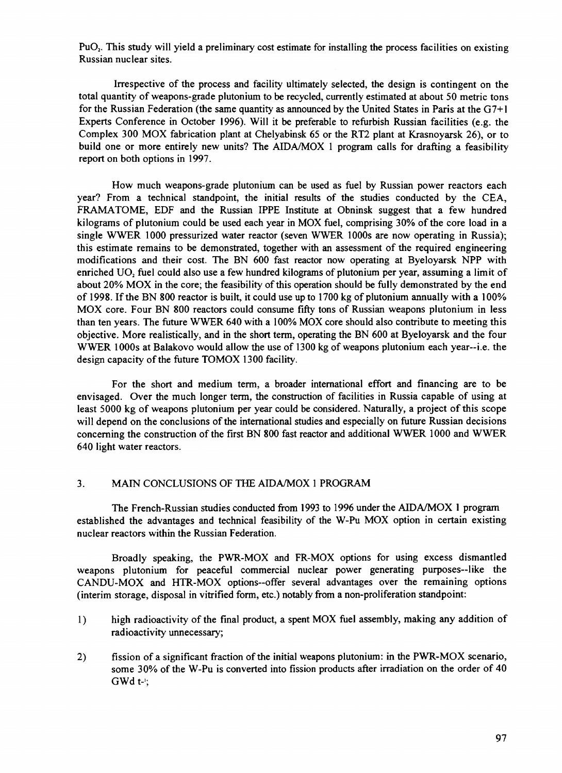PuOj. This study will yield a preliminary cost estimate for installing the process facilities on existing Russian nuclear sites.

Irrespective of the process and facility ultimately selected, the design is contingent on the total quantity of weapons-grade plutonium to be recycled, currently estimated at about 50 metric tons for the Russian Federation (the same quantity as announced by the United States in Paris at the G7+1 Experts Conference in October 1996). Will it be preferable to refurbish Russian facilities (e.g. the Complex 300 MOX fabrication plant at Chelyabinsk 65 or the RT2 plant at Krasnoyarsk 26), or to build one or more entirely new units? The AIDA/MOX 1 program calls for drafting a feasibility report on both options in 1997.

How much weapons-grade plutonium can be used as fuel by Russian power reactors each year? From a technical standpoint, the initial results of the studies conducted by the CEA, FRAMATOME, EDF and the Russian IPPE Institute at Obninsk suggest that a few hundred kilograms of plutonium could be used each year in MOX fuel, comprising 30% of the core load in a single WWER 1000 pressurized water reactor (seven WWER 1000s are now operating in Russia); this estimate remains to be demonstrated, together with an assessment of the required engineering modifications and their cost. The BN 600 fast reactor now operating at Byeloyarsk NPP with enriched UO<sub>2</sub> fuel could also use a few hundred kilograms of plutonium per year, assuming a limit of about 20% MOX in the core; the feasibility of this operation should be fully demonstrated by the end of 1998. If the BN 800 reactor is built, it could use up to 1700 kg of plutonium annually with a 100% MOX core. Four BN 800 reactors could consume fifty tons of Russian weapons plutonium in less than ten years. The future WWER 640 with a 100% MOX core should also contribute to meeting this objective. More realistically, and in the short term, operating the BN 600 at Byeloyarsk and the four WWER 1000s at Balakovo would allow the use of 1300 kg of weapons plutonium each year--i.e. the design capacity of the future TOMOX 1300 facility.

For the short and medium term, a broader international effort and financing are to be envisaged. Over the much longer term, the construction of facilities in Russia capable of using at least 5000 kg of weapons plutonium per year could be considered. Naturally, a project of this scope will depend on the conclusions of the international studies and especially on future Russian decisions concerning the construction of the first BN 800 fast reactor and additional WWER 1000 and WWER 640 light water reactors.

### 3. MAIN CONCLUSIONS OF THE AIDA/MOX 1 PROGRAM

The French-Russian studies conducted from 1993 to 1996 under the AIDA/MOX 1 program established the advantages and technical feasibility of the W-Pu MOX option in certain existing nuclear reactors within the Russian Federation.

Broadly speaking, the PWR-MOX and FR-MOX options for using excess dismantled weapons plutonium for peaceful commercial nuclear power generating purposes—like the CANDU-MOX and HTR-MOX options-offer several advantages over the remaining options (interim storage, disposal in vitrified form, etc.) notably from a non-proliferation standpoint:

- 1) high radioactivity of the final product, a spent MOX fuel assembly, making any addition of radioactivity unnecessary;
- 2) fission of a significant fraction of the initial weapons plutonium: in the PWR-MOX scenario, some 30% of the W-Pu is converted into fission products after irradiation on the order of 40 GWd t-';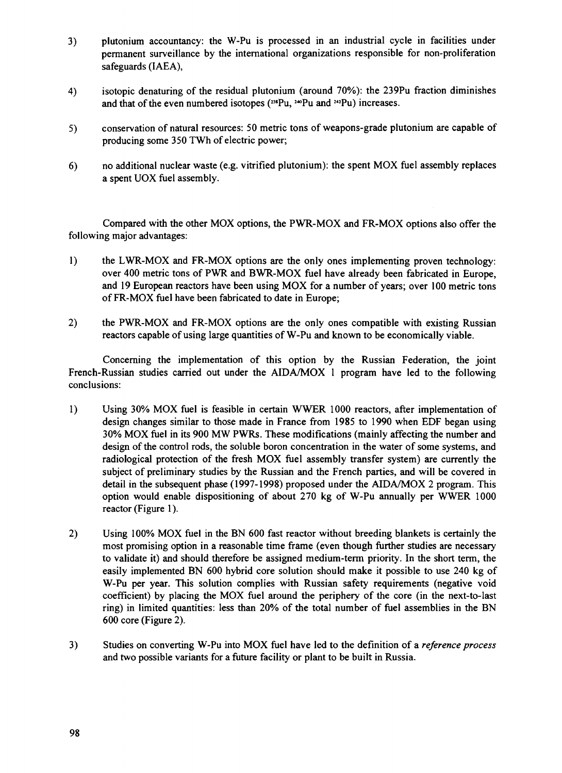- 3) plutonium accountancy: the W-Pu is processed in an industrial cycle in facilities under permanent surveillance by the international organizations responsible for non-proliferation safeguards (IAEA),
- 4) isotopic denaturing of the residual plutonium (around 70%): the 239Pu fraction diminishes and that of the even numbered isotopes ( $^{238}Pu$ ,  $^{240}Pu$  and  $^{242}Pu$ ) increases
- 5) conservation of natural resources: 50 metric tons of weapons-grade plutonium are capable of producing some 350 TWh of electric power;
- 6) no additional nuclear waste (e.g. vitrified plutonium): the spent MOX fuel assembly replaces a spent UOX fuel assembly.

Compared with the other MOX options, the PWR-MOX and FR-MOX options also offer the following major advantages:

- 1) the LWR-MOX and FR-MOX options are the only ones implementing proven technology: over 400 metric tons of PWR and BWR-MOX fuel have already been fabricated in Europe, and 19 European reactors have been using MOX for a number of years; over 100 metric tons of FR-MOX fuel have been fabricated to date in Europe;
- 2) the PWR-MOX and FR-MOX options are the only ones compatible with existing Russian reactors capable of using large quantities of W-Pu and known to be economically viable.

Concerning the implementation of this option by the Russian Federation, the joint French-Russian studies carried out under the AIDA/MOX 1 program have led to the following conclusions:

- 1) Using 30% MOX fuel is feasible in certain WWER 1000 reactors, after implementation of design changes similar to those made in France from 1985 to 1990 when EDF began using 30% MOX fuel in its 900 MW PWRs. These modifications (mainly affecting the number and design of the control rods, the soluble boron concentration in the water of some systems, and radiological protection of the fresh MOX fuel assembly transfer system) are currently the subject of preliminary studies by the Russian and the French parties, and will be covered in detail in the subsequent phase (1997-1998) proposed under the AIDA/MOX 2 program. This option would enable dispositioning of about 270 kg of W-Pu annually per WWER 1000 reactor (Figure 1).
- 2) Using 100% MOX fuel in the BN 600 fast reactor without breeding blankets is certainly the most promising option in a reasonable time frame (even though further studies are necessary to validate it) and should therefore be assigned medium-term priority. In the short term, the easily implemented BN 600 hybrid core solution should make it possible to use 240 kg of W-Pu per year. This solution complies with Russian safety requirements (negative void coefficient) by placing the MOX fuel around the periphery of the core (in the next-to-last ring) in limited quantities: less than 20% of the total number of fuel assemblies in the BN 600 core (Figure 2).
- 3) Studies on converting W-Pu into MOX fuel have led to the definition of a *reference process* and two possible variants for a future facility or plant to be built in Russia.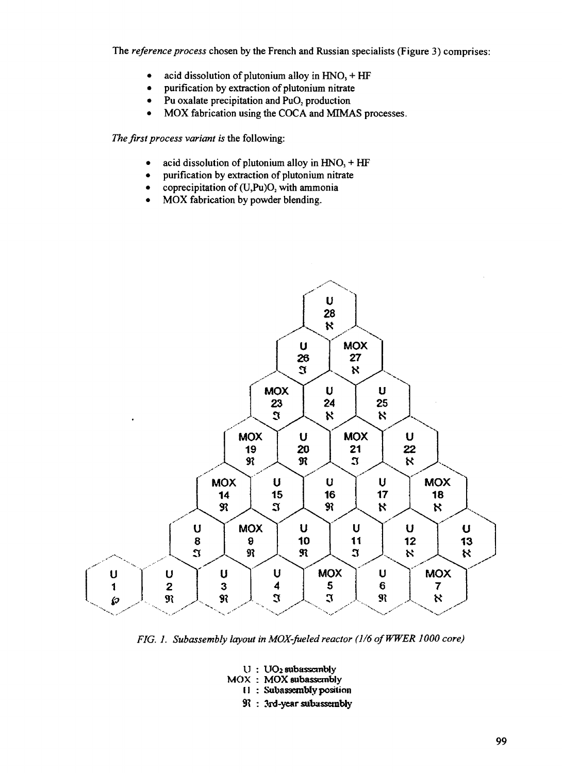The *reference process* chosen by the French and Russian specialists (Figure 3) comprises:

- acid dissolution of plutonium alloy in  $HNO<sub>1</sub> + HF$
- purification by extraction of plutonium nitrate
- Pu oxalate precipitation and  $PuO<sub>2</sub>$  production
- MOX fabrication using the COCA and MIMAS processes.

*The first process variant is* the following:

- acid dissolution of plutonium alloy in  $HNO<sub>3</sub> + HF$
- purification by extraction of plutonium nitrate
- coprecipitation of  $(U, Pu)O<sub>2</sub>$  with ammonia<br>• MOX fabrication by powder blending
- MOX fabrication by powder blending.



/7G. 7. *Subassembly layout in MOX-fueled reactor (1/6 ofWWER 1000 core)*

U : UO2 <mark>subasscmbl</mark>y MOX : M<mark>OX subass</mark>cmbly II : Subassembly position : 3rd-year subassembly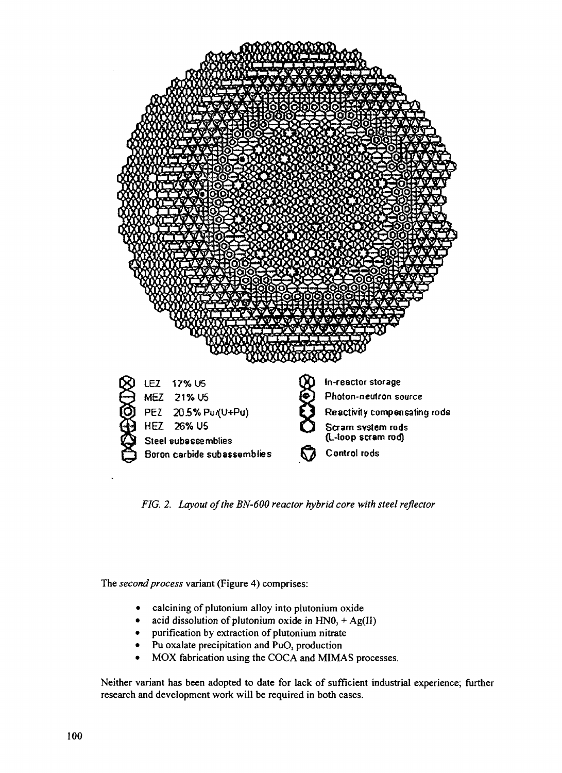

*FIG. 2. Layout of the BN-600 reactor hybrid core with steel reflector*

The *second process* variant (Figure 4) comprises:

- calcining of plutonium alloy into plutonium oxide
- acid dissolution of plutonium oxide in  $HNO<sub>1</sub> + Ag(II)$
- purification by extraction of plutonium nitrate
- Pu oxalate precipitation and  $PuO<sub>2</sub>$  production
- MOX fabrication using the COCA and MIMAS processes.

Neither variant has been adopted to date for lack of sufficient industrial experience; further research and development work will be required in both cases.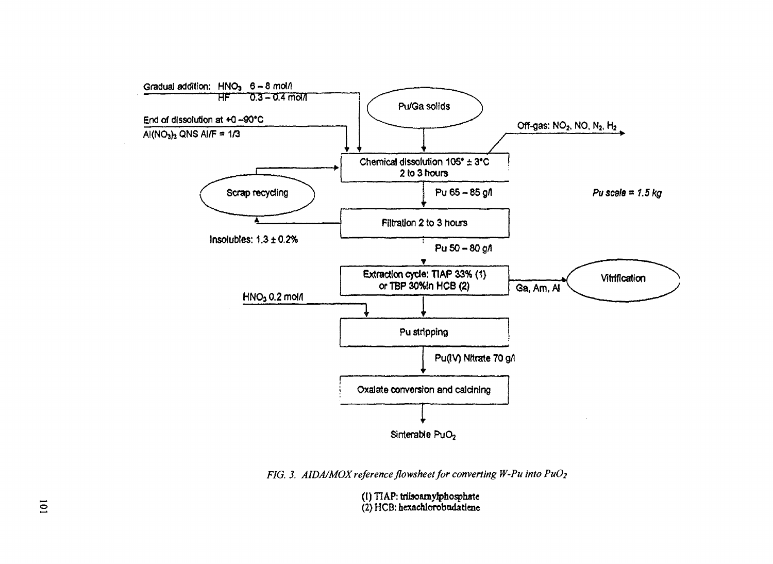

*FIG. 3. AIDA/MOX reference flowsheet for converting W-Pu into PuO<sub>2</sub>* 

**(1)** TIAP: **triisoaxnyjphosphate (2) HCB: hcxachlorobndatiene**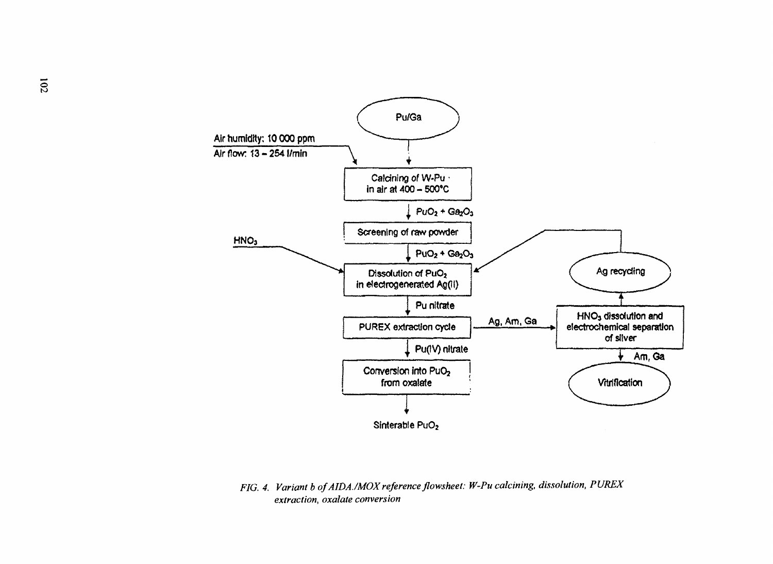

*FIG. 4. Variant b of AIDA./MOX reference flowsheet: W-Pu calcining, dissolution, PUREX extraction, oxalate conversion*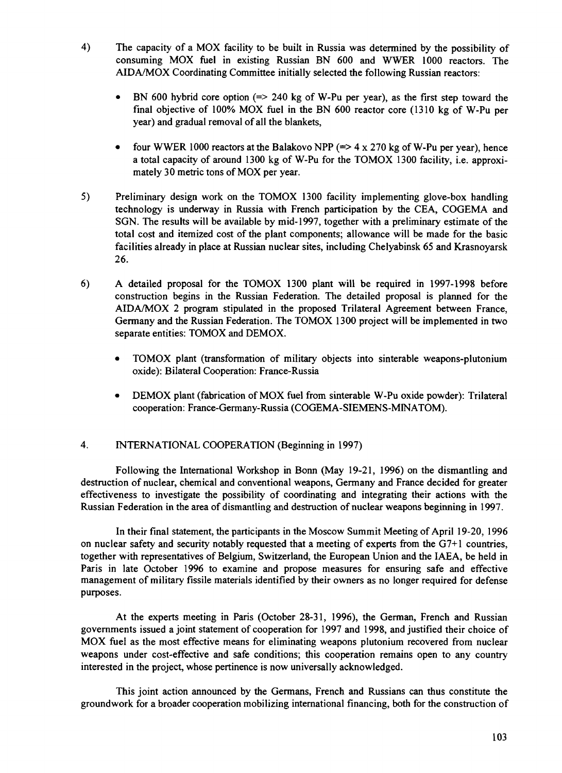- 4) The capacity of a MOX facility to be built in Russia was determined by the possibility of consuming MOX fuel in existing Russian BN 600 and WWER 1000 reactors. The AIDA/MOX Coordinating Committee initially selected the following Russian reactors:
	- BN 600 hybrid core option  $(=$  240 kg of W-Pu per year), as the first step toward the final objective of 100% MOX fuel in the BN 600 reactor core (1310 kg of W-Pu per year) and gradual removal of all the blankets,
	- four WWER 1000 reactors at the Balakovo NPP  $(\Rightarrow 4 \times 270 \text{ kg of W-Pu per year})$ , hence a total capacity of around 1300 kg of W-Pu for the TOMOX 1300 facility, i.e. approximately 30 metric tons of MOX per year.
- 5) Preliminary design work on the TOMOX 1300 facility implementing glove-box handling technology is underway in Russia with French participation by the CEA, COGEMA and SGN. The results will be available by mid-1997, together with a preliminary estimate of the total cost and itemized cost of the plant components; allowance will be made for the basic facilities already in place at Russian nuclear sites, including Chelyabinsk 65 and Krasnoyarsk 26.
- 6) A detailed proposal for the TOMOX 1300 plant will be required in 1997-1998 before construction begins in the Russian Federation. The detailed proposal is planned for the AIDA/MOX 2 program stipulated in the proposed Trilateral Agreement between France, Germany and the Russian Federation. The TOMOX 1300 project will be implemented in two separate entities: TOMOX and DEMOX.
	- TOMOX plant (transformation of military objects into sinterable weapons-plutonium oxide): Bilateral Cooperation: France-Russia
	- DEMOX plant (fabrication of MOX fuel from sinterable W-Pu oxide powder): Trilateral cooperation: France-Germany-Russia (COGEMA-SIEMENS-M1NATOM).

# 4. INTERNATIONAL COOPERATION (Beginning in 1997)

Following the International Workshop in Bonn (May 19-21, 1996) on the dismantling and destruction of nuclear, chemical and conventional weapons, Germany and France decided for greater effectiveness to investigate the possibility of coordinating and integrating their actions with the Russian Federation in the area of dismantling and destruction of nuclear weapons beginning in 1997.

In their final statement, the participants in the Moscow Summit Meeting of April 19-20, 1996 on nuclear safety and security notably requested that a meeting of experts from the  $G7+1$  countries, together with representatives of Belgium, Switzerland, the European Union and the IAEA, be held in Paris in late October 1996 to examine and propose measures for ensuring safe and effective management of military fissile materials identified by their owners as no longer required for defense purposes.

At the experts meeting in Paris (October 28-31, 1996), the German, French and Russian governments issued a joint statement of cooperation for 1997 and 1998, and justified their choice of MOX fuel as the most effective means for eliminating weapons plutonium recovered from nuclear weapons under cost-effective and safe conditions; this cooperation remains open to any country interested in the project, whose pertinence is now universally acknowledged.

This joint action announced by the Germans, French and Russians can thus constitute the groundwork for a broader cooperation mobilizing international financing, both for the construction of